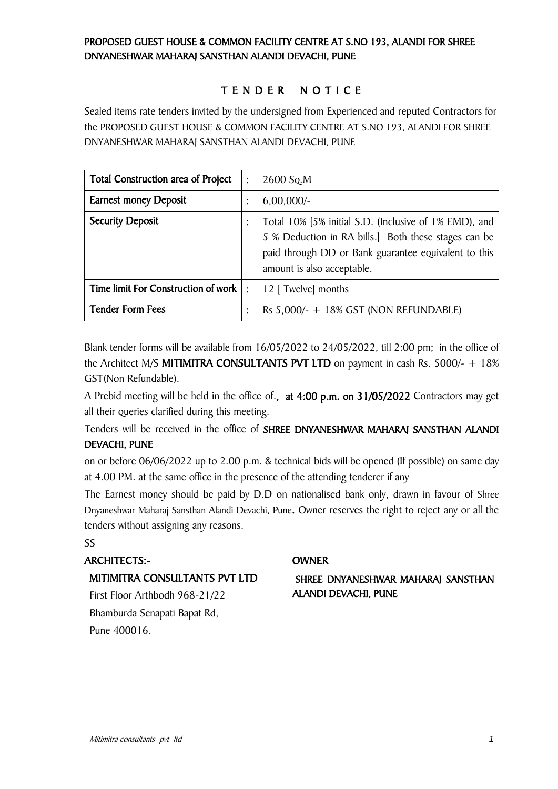# PROPOSED GUEST HOUSE & COMMON FACILITY CENTRE AT S.NO 193, ALANDI FOR SHREE DNYANESHWAR MAHARAJ SANSTHAN ALANDI DEVACHI, PUNE

# T E N D E R N O T I C E

Sealed items rate tenders invited by the undersigned from Experienced and reputed Contractors for the PROPOSED GUEST HOUSE & COMMON FACILITY CENTRE AT S.NO 193, ALANDI FOR SHREE DNYANESHWAR MAHARAJ SANSTHAN ALANDI DEVACHI, PUNE

| Total Construction area of Project  | $\ddot{\cdot}$ | 2600 Sq.M                                                                                                                                                                                           |
|-------------------------------------|----------------|-----------------------------------------------------------------------------------------------------------------------------------------------------------------------------------------------------|
| <b>Earnest money Deposit</b>        | $\bullet$      | $6,00,000/-$                                                                                                                                                                                        |
| <b>Security Deposit</b>             |                | Total 10% [5% initial S.D. (Inclusive of 1% EMD), and<br>5 % Deduction in RA bills.] Both these stages can be<br>paid through DD or Bank guarantee equivalent to this<br>amount is also acceptable. |
| Time limit For Construction of work | $\cdot$        | 12 [ Twelve] months                                                                                                                                                                                 |
| <b>Tender Form Fees</b>             | $\bullet$      | Rs $5,000/- + 18\%$ GST (NON REFUNDABLE)                                                                                                                                                            |

Blank tender forms will be available from 16/05/2022 to 24/05/2022, till 2:00 pm; in the office of the Architect M/S **MITIMITRA CONSULTANTS PVT LTD** on payment in cash Rs. 5000/-  $+$  18% GST(Non Refundable).

A Prebid meeting will be held in the office of., at 4:00 p.m. on 31/05/2022 Contractors may get all their queries clarified during this meeting.

Tenders will be received in the office of SHREE DNYANESHWAR MAHARAJ SANSTHAN ALANDI DEVACHI, PUNE

on or before 06/06/2022 up to 2.00 p.m. & technical bids will be opened (If possible) on same day at 4.00 PM. at the same office in the presence of the attending tenderer if any

The Earnest money should be paid by D.D on nationalised bank only, drawn in favour of Shree Dnyaneshwar Maharaj Sansthan Alandi Devachi, Pune. Owner reserves the right to reject any or all the tenders without assigning any reasons.

#### SS

## ARCHITECTS:- OWNER

#### MITIMITRA CONSULTANTS PVT LTD

First Floor Arthbodh 968-21/22 Bhamburda Senapati Bapat Rd, Pune 400016.

### SHREE DNYANESHWAR MAHARAJ SANSTHAN ALANDI DEVACHI, PUNE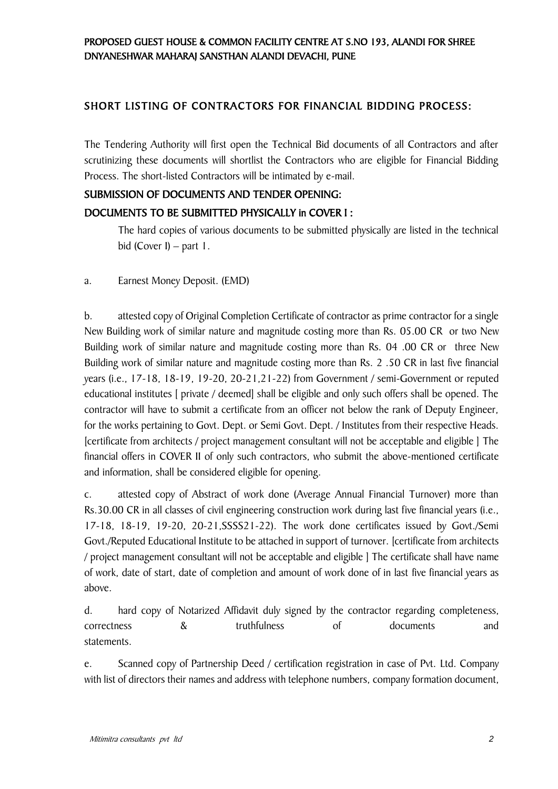# PROPOSED GUEST HOUSE & COMMON FACILITY CENTRE AT S.NO 193, ALANDI FOR SHREE DNYANESHWAR MAHARAJ SANSTHAN ALANDI DEVACHI, PUNE

# SHORT LISTING OF CONTRACTORS FOR FINANCIAL BIDDING PROCESS:

The Tendering Authority will first open the Technical Bid documents of all Contractors and after scrutinizing these documents will shortlist the Contractors who are eligible for Financial Bidding Process. The short-listed Contractors will be intimated by e-mail.

#### SUBMISSION OF DOCUMENTS AND TENDER OPENING:

## DOCUMENTS TO BE SUBMITTED PHYSICALLY in COVER I :

The hard copies of various documents to be submitted physically are listed in the technical bid (Cover I) – part 1.

a. Earnest Money Deposit. (EMD)

b. attested copy of Original Completion Certificate of contractor as prime contractor for a single New Building work of similar nature and magnitude costing more than Rs. 05.00 CR or two New Building work of similar nature and magnitude costing more than Rs. 04 .00 CR or three New Building work of similar nature and magnitude costing more than Rs. 2 .50 CR in last five financial years (i.e., 17-18, 18-19, 19-20, 20-21,21-22) from Government / semi-Government or reputed educational institutes [ private / deemed] shall be eligible and only such offers shall be opened. The contractor will have to submit a certificate from an officer not below the rank of Deputy Engineer, for the works pertaining to Govt. Dept. or Semi Govt. Dept. / Institutes from their respective Heads. [certificate from architects / project management consultant will not be acceptable and eligible ] The financial offers in COVER II of only such contractors, who submit the above-mentioned certificate and information, shall be considered eligible for opening.

c. attested copy of Abstract of work done (Average Annual Financial Turnover) more than Rs.30.00 CR in all classes of civil engineering construction work during last five financial years (i.e., 17-18, 18-19, 19-20, 20-21,SSSS21-22). The work done certificates issued by Govt./Semi Govt./Reputed Educational Institute to be attached in support of turnover. [certificate from architects / project management consultant will not be acceptable and eligible ] The certificate shall have name of work, date of start, date of completion and amount of work done of in last five financial years as above.

d. hard copy of Notarized Affidavit duly signed by the contractor regarding completeness, correctness & truthfulness of documents and statements.

e. Scanned copy of Partnership Deed / certification registration in case of Pvt. Ltd. Company with list of directors their names and address with telephone numbers, company formation document,